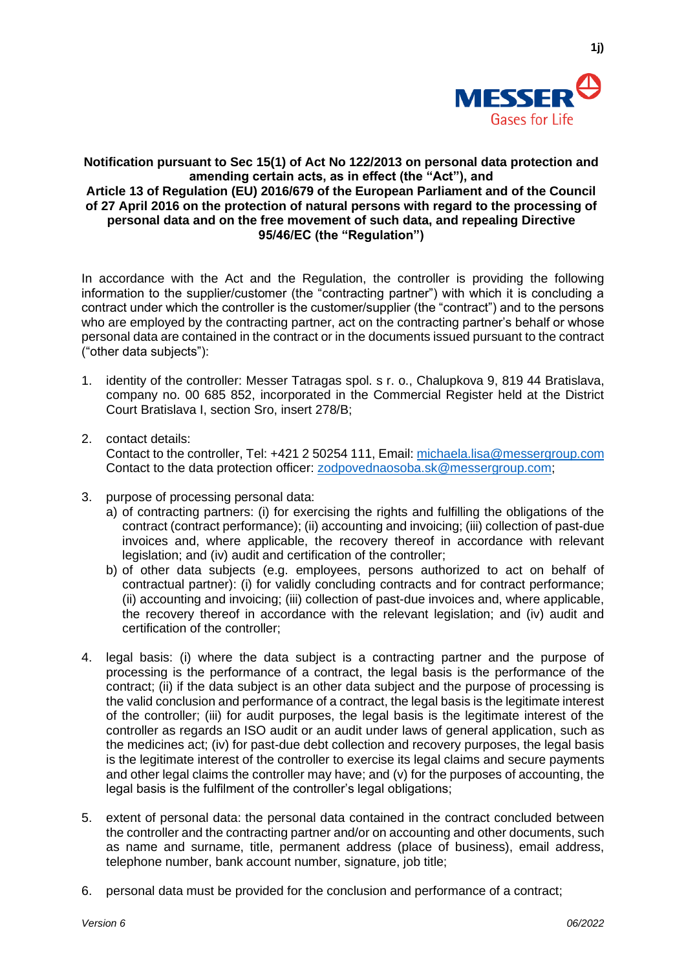

**1j)**

## **Notification pursuant to Sec 15(1) of Act No 122/2013 on personal data protection and amending certain acts, as in effect (the "Act"), and Article 13 of Regulation (EU) 2016/679 of the European Parliament and of the Council of 27 April 2016 on the protection of natural persons with regard to the processing of personal data and on the free movement of such data, and repealing Directive 95/46/EC (the "Regulation")**

In accordance with the Act and the Regulation, the controller is providing the following information to the supplier/customer (the "contracting partner") with which it is concluding a contract under which the controller is the customer/supplier (the "contract") and to the persons who are employed by the contracting partner, act on the contracting partner's behalf or whose personal data are contained in the contract or in the documents issued pursuant to the contract ("other data subjects"):

- 1. identity of the controller: Messer Tatragas spol. s r. o., Chalupkova 9, 819 44 Bratislava, company no. 00 685 852, incorporated in the Commercial Register held at the District Court Bratislava I, section Sro, insert 278/B;
- 2. contact details:

Contact to the controller, Tel: +421 2 50254 111, Email[: michaela.lisa@messergroup.com](mailto:michaela.lisa@messergroup.com) Contact to the data protection officer: [zodpovednaosoba.sk@messergroup.com;](mailto:zodpovednaosoba.sk@messergroup.com)

- 3. purpose of processing personal data:
	- a) of contracting partners: (i) for exercising the rights and fulfilling the obligations of the contract (contract performance); (ii) accounting and invoicing; (iii) collection of past-due invoices and, where applicable, the recovery thereof in accordance with relevant legislation; and (iv) audit and certification of the controller;
	- b) of other data subjects (e.g. employees, persons authorized to act on behalf of contractual partner): (i) for validly concluding contracts and for contract performance; (ii) accounting and invoicing; (iii) collection of past-due invoices and, where applicable, the recovery thereof in accordance with the relevant legislation; and (iv) audit and certification of the controller;
- 4. legal basis: (i) where the data subject is a contracting partner and the purpose of processing is the performance of a contract, the legal basis is the performance of the contract; (ii) if the data subject is an other data subject and the purpose of processing is the valid conclusion and performance of a contract, the legal basis is the legitimate interest of the controller; (iii) for audit purposes, the legal basis is the legitimate interest of the controller as regards an ISO audit or an audit under laws of general application, such as the medicines act; (iv) for past-due debt collection and recovery purposes, the legal basis is the legitimate interest of the controller to exercise its legal claims and secure payments and other legal claims the controller may have; and (v) for the purposes of accounting, the legal basis is the fulfilment of the controller's legal obligations;
- 5. extent of personal data: the personal data contained in the contract concluded between the controller and the contracting partner and/or on accounting and other documents, such as name and surname, title, permanent address (place of business), email address, telephone number, bank account number, signature, job title;
- 6. personal data must be provided for the conclusion and performance of a contract;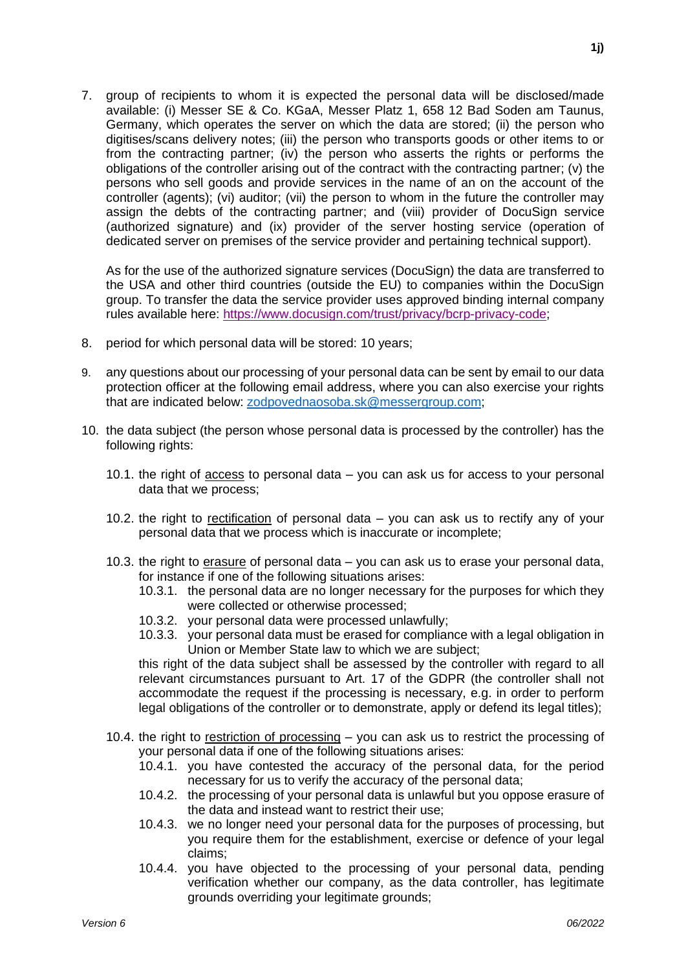7. group of recipients to whom it is expected the personal data will be disclosed/made available: (i) Messer SE & Co. KGaA, Messer Platz 1, 658 12 Bad Soden am Taunus, Germany, which operates the server on which the data are stored; (ii) the person who digitises/scans delivery notes; (iii) the person who transports goods or other items to or from the contracting partner; (iv) the person who asserts the rights or performs the obligations of the controller arising out of the contract with the contracting partner; (v) the persons who sell goods and provide services in the name of an on the account of the controller (agents); (vi) auditor; (vii) the person to whom in the future the controller may assign the debts of the contracting partner; and (viii) provider of DocuSign service (authorized signature) and (ix) provider of the server hosting service (operation of dedicated server on premises of the service provider and pertaining technical support).

As for the use of the authorized signature services (DocuSign) the data are transferred to the USA and other third countries (outside the EU) to companies within the DocuSign group. To transfer the data the service provider uses approved binding internal company rules available here: [https://www.docusign.com/trust/privacy/bcrp-privacy-code;](https://www.docusign.com/trust/privacy/bcrp-privacy-code)

- 8. period for which personal data will be stored: 10 years;
- 9. any questions about our processing of your personal data can be sent by email to our data protection officer at the following email address, where you can also exercise your rights that are indicated below: [zodpovednaosoba.sk@messergroup.com;](mailto:zodpovednaosoba.sk@messergroup.com)
- 10. the data subject (the person whose personal data is processed by the controller) has the following rights:
	- 10.1. the right of access to personal data you can ask us for access to your personal data that we process;
	- 10.2. the right to rectification of personal data you can ask us to rectify any of your personal data that we process which is inaccurate or incomplete;
	- 10.3. the right to erasure of personal data you can ask us to erase your personal data, for instance if one of the following situations arises:
		- 10.3.1. the personal data are no longer necessary for the purposes for which they were collected or otherwise processed;
		- 10.3.2. your personal data were processed unlawfully;
		- 10.3.3. your personal data must be erased for compliance with a legal obligation in Union or Member State law to which we are subject;

this right of the data subject shall be assessed by the controller with regard to all relevant circumstances pursuant to Art. 17 of the GDPR (the controller shall not accommodate the request if the processing is necessary, e.g. in order to perform legal obligations of the controller or to demonstrate, apply or defend its legal titles);

- 10.4. the right to restriction of processing you can ask us to restrict the processing of your personal data if one of the following situations arises:
	- 10.4.1. you have contested the accuracy of the personal data, for the period necessary for us to verify the accuracy of the personal data;
	- 10.4.2. the processing of your personal data is unlawful but you oppose erasure of the data and instead want to restrict their use;
	- 10.4.3. we no longer need your personal data for the purposes of processing, but you require them for the establishment, exercise or defence of your legal claims;
	- 10.4.4. you have objected to the processing of your personal data, pending verification whether our company, as the data controller, has legitimate grounds overriding your legitimate grounds;